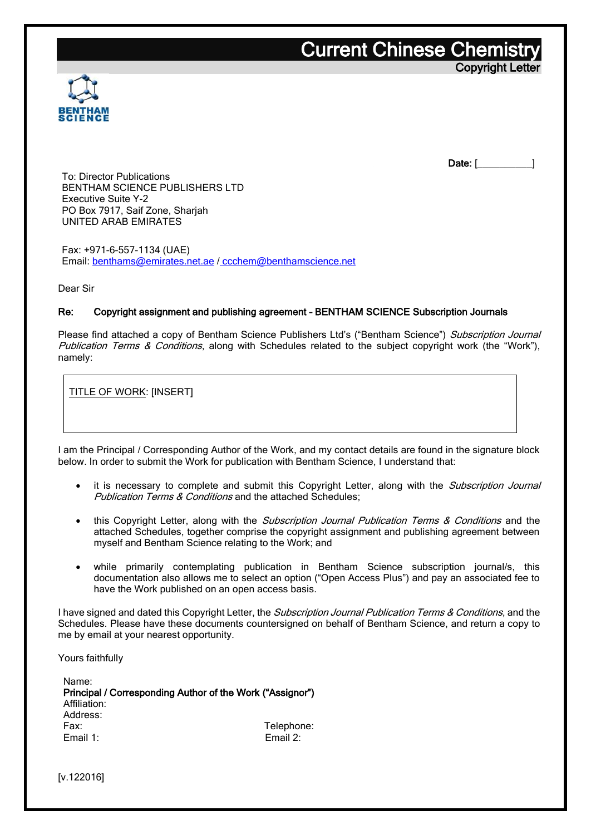### **Current Chinese Chemistr** Copyright Letter



Date: [\_\_\_\_\_\_\_\_\_\_\_\_]

To: Director Publications BENTHAM SCIENCE PUBLISHERS LTD Executive Suite Y-2 PO Box 7917, Saif Zone, Sharjah UNITED ARAB EMIRATES

Fax: +971-6-557-1134 (UAE) Email: [benthams@emirates.net.ae](mailto:benthams@emirates.net.ae) / [ccchem@benthamscience.net](mailto:ccchem@benthamscience.net)

Dear Sir

#### Re: Copyright assignment and publishing agreement – BENTHAM SCIENCE Subscription Journals

Please find attached a copy of Bentham Science Publishers Ltd's ("Bentham Science") Subscription Journal Publication Terms & Conditions, along with Schedules related to the subject copyright work (the "Work"), namely:

TITLE OF WORK: [INSERT]

I am the Principal / Corresponding Author of the Work, and my contact details are found in the signature block below. In order to submit the Work for publication with Bentham Science, I understand that:

- it is necessary to complete and submit this Copyright Letter, along with the Subscription Journal Publication Terms & Conditions and the attached Schedules;
- this Copyright Letter, along with the *Subscription Journal Publication Terms & Conditions* and the attached Schedules, together comprise the copyright assignment and publishing agreement between myself and Bentham Science relating to the Work; and
- while primarily contemplating publication in Bentham Science subscription journal/s, this documentation also allows me to select an option ("Open Access Plus") and pay an associated fee to have the Work published on an open access basis.

I have signed and dated this Copyright Letter, the Subscription Journal Publication Terms & Conditions, and the Schedules. Please have these documents countersigned on behalf of Bentham Science, and return a copy to me by email at your nearest opportunity.

Yours faithfully

Name: Principal / Corresponding Author of the Work ("Assignor") Affiliation: Address: Fax: Telephone: Email 1: Email 2:

[v.122016]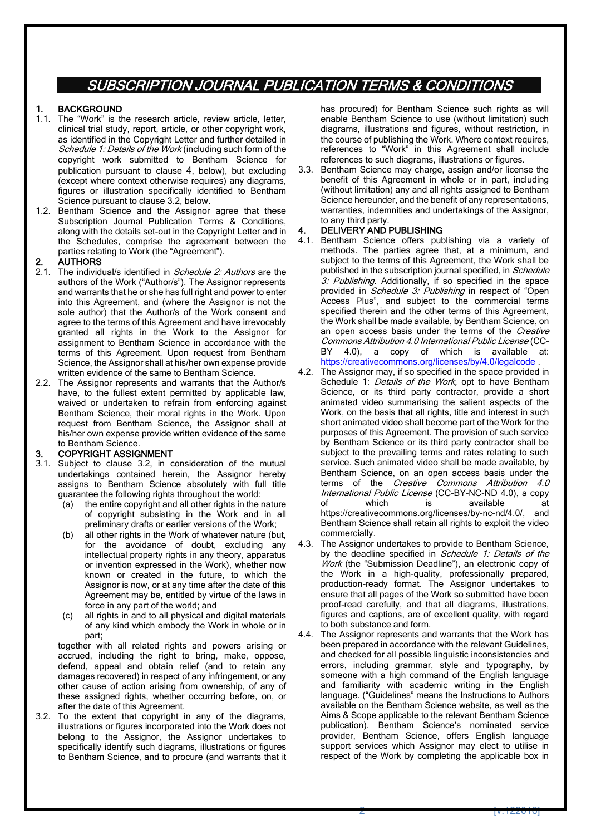### SUBSCRIPTION JOURNAL PUBLICATION TERMS & CONDITIONS

#### **BACKGROUND**

- 1.1. The "Work" is the research article, review article, letter, clinical trial study, report, article, or other copyright work, as identified in the Copyright Letter and further detailed in Schedule 1: Details of the Work (including such form of the copyright work submitted to Bentham Science for publication pursuant to clause [4](#page-1-0), below), but excluding (except where context otherwise requires) any diagrams, figures or illustration specifically identified to Bentham Science pursuant to claus[e 3.2,](#page-1-1) below.
- 1.2. Bentham Science and the Assignor agree that these Subscription Journal Publication Terms & Conditions, along with the details set-out in the Copyright Letter and in the Schedules, comprise the agreement between the parties relating to Work (the "Agreement").

#### **AUTHORS**

- 2.1. The individual/s identified in Schedule 2: Authors are the authors of the Work ("Author/s"). The Assignor represents and warrants that he or she has full right and power to enter into this Agreement, and (where the Assignor is not the sole author) that the Author/s of the Work consent and agree to the terms of this Agreement and have irrevocably granted all rights in the Work to the Assignor for assignment to Bentham Science in accordance with the terms of this Agreement. Upon request from Bentham Science, the Assignor shall at his/her own expense provide written evidence of the same to Bentham Science.
- 2.2. The Assignor represents and warrants that the Author/s have, to the fullest extent permitted by applicable law, waived or undertaken to refrain from enforcing against Bentham Science, their moral rights in the Work. Upon request from Bentham Science, the Assignor shall at his/her own expense provide written evidence of the same to Bentham Science.

#### 3. COPYRIGHT ASSIGNMENT

- 3.1. Subject to clause [3.2,](#page-1-1) in consideration of the mutual undertakings contained herein, the Assignor hereby assigns to Bentham Science absolutely with full title guarantee the following rights throughout the world:
	- (a) the entire copyright and all other rights in the nature of copyright subsisting in the Work and in all preliminary drafts or earlier versions of the Work;
	- (b) all other rights in the Work of whatever nature (but, for the avoidance of doubt, excluding any intellectual property rights in any theory, apparatus or invention expressed in the Work), whether now known or created in the future, to which the Assignor is now, or at any time after the date of this Agreement may be, entitled by virtue of the laws in force in any part of the world; and
	- (c) all rights in and to all physical and digital materials of any kind which embody the Work in whole or in part;

together with all related rights and powers arising or accrued, including the right to bring, make, oppose, defend, appeal and obtain relief (and to retain any damages recovered) in respect of any infringement, or any other cause of action arising from ownership, of any of these assigned rights, whether occurring before, on, or after the date of this Agreement.

<span id="page-1-1"></span>3.2. To the extent that copyright in any of the diagrams, illustrations or figures incorporated into the Work does not belong to the Assignor, the Assignor undertakes to specifically identify such diagrams, illustrations or figures to Bentham Science, and to procure (and warrants that it

has procured) for Bentham Science such rights as will enable Bentham Science to use (without limitation) such diagrams, illustrations and figures, without restriction, in the course of publishing the Work. Where context requires, references to "Work" in this Agreement shall include references to such diagrams, illustrations or figures.

Bentham Science may charge, assign and/or license the benefit of this Agreement in whole or in part, including (without limitation) any and all rights assigned to Bentham Science hereunder, and the benefit of any representations, warranties, indemnities and undertakings of the Assignor, to any third party.

#### <span id="page-1-0"></span>DELIVERY AND PUBLISHING

- 4.1. Bentham Science offers publishing via a variety of methods. The parties agree that, at a minimum, and subject to the terms of this Agreement, the Work shall be published in the subscription journal specified, in Schedule 3: Publishing. Additionally, if so specified in the space provided in *Schedule 3: Publishing* in respect of "Open Access Plus", and subject to the commercial terms specified therein and the other terms of this Agreement, the Work shall be made available, by Bentham Science, on an open access basis under the terms of the Creative Commons Attribution 4.0 International Public License (CC-BY 4.0), a copy of which is available at: <https://creativecommons.org/licenses/by/4.0/legalcode> .
- 4.2. The Assignor may, if so specified in the space provided in Schedule 1: Details of the Work, opt to have Bentham Science, or its third party contractor, provide a short animated video summarising the salient aspects of the Work, on the basis that all rights, title and interest in such short animated video shall become part of the Work for the purposes of this Agreement. The provision of such service by Bentham Science or its third party contractor shall be subject to the prevailing terms and rates relating to such service. Such animated video shall be made available, by Bentham Science, on an open access basis under the terms of the Creative Commons Attribution 4.0 International Public License (CC-BY-NC-ND 4.0), a copy of which is available at https://creativecommons.org/licenses/by-nc-nd/4.0/, and Bentham Science shall retain all rights to exploit the video commercially.
- 4.3. The Assignor undertakes to provide to Bentham Science, by the deadline specified in Schedule 1: Details of the Work (the "Submission Deadline"), an electronic copy of the Work in a high-quality, professionally prepared, production-ready format. The Assignor undertakes to ensure that all pages of the Work so submitted have been proof-read carefully, and that all diagrams, illustrations, figures and captions, are of excellent quality, with regard to both substance and form.
- 4.4. The Assignor represents and warrants that the Work has been prepared in accordance with the relevant Guidelines, and checked for all possible linguistic inconsistencies and errors, including grammar, style and typography, by someone with a high command of the English language and familiarity with academic writing in the English language. ("Guidelines" means the Instructions to Authors available on the Bentham Science website, as well as the Aims & Scope applicable to the relevant Bentham Science publication). Bentham Science's nominated service provider, Bentham Science, offers English language support services which Assignor may elect to utilise in respect of the Work by completing the applicable box in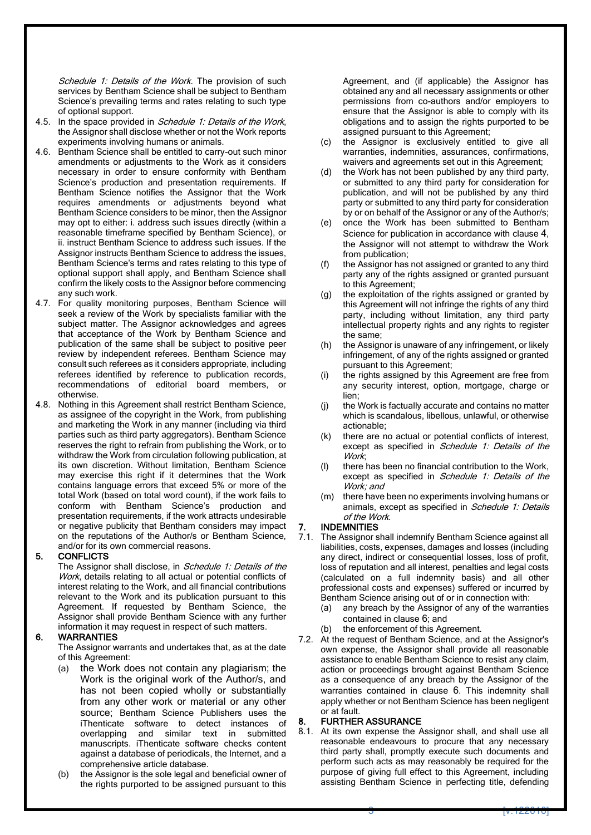Schedule 1: Details of the Work. The provision of such services by Bentham Science shall be subject to Bentham Science's prevailing terms and rates relating to such type of optional support.

- 4.5. In the space provided in Schedule 1: Details of the Work, the Assignor shall disclose whether or not the Work reports experiments involving humans or animals.
- 4.6. Bentham Science shall be entitled to carry-out such minor amendments or adjustments to the Work as it considers necessary in order to ensure conformity with Bentham Science's production and presentation requirements. If Bentham Science notifies the Assignor that the Work requires amendments or adjustments beyond what Bentham Science considers to be minor, then the Assignor may opt to either: i. address such issues directly (within a reasonable timeframe specified by Bentham Science), or ii. instruct Bentham Science to address such issues. If the Assignor instructs Bentham Science to address the issues, Bentham Science's terms and rates relating to this type of optional support shall apply, and Bentham Science shall confirm the likely costs to the Assignor before commencing any such work.
- 4.7. For quality monitoring purposes, Bentham Science will seek a review of the Work by specialists familiar with the subject matter. The Assignor acknowledges and agrees that acceptance of the Work by Bentham Science and publication of the same shall be subject to positive peer review by independent referees. Bentham Science may consult such referees as it considers appropriate, including referees identified by reference to publication records, recommendations of editorial board members, or otherwise.
- 4.8. Nothing in this Agreement shall restrict Bentham Science, as assignee of the copyright in the Work, from publishing and marketing the Work in any manner (including via third parties such as third party aggregators). Bentham Science reserves the right to refrain from publishing the Work, or to withdraw the Work from circulation following publication, at its own discretion. Without limitation, Bentham Science may exercise this right if it determines that the Work contains language errors that exceed 5% or more of the total Work (based on total word count), if the work fails to conform with Bentham Science's production and presentation requirements, if the work attracts undesirable or negative publicity that Bentham considers may impact on the reputations of the Author/s or Bentham Science, and/or for its own commercial reasons.

#### 5. CONFLICTS

The Assignor shall disclose, in Schedule 1: Details of the Work, details relating to all actual or potential conflicts of interest relating to the Work, and all financial contributions relevant to the Work and its publication pursuant to this Agreement. If requested by Bentham Science, the Assignor shall provide Bentham Science with any further information it may request in respect of such matters.

#### <span id="page-2-0"></span>6. WARRANTIES

The Assignor warrants and undertakes that, as at the date of this Agreement:

- (a) the Work does not contain any plagiarism; the Work is the original work of the Author/s, and has not been copied wholly or substantially from any other work or material or any other source; Bentham Science Publishers uses the iThenticate software to detect instances of overlapping and similar text in submitted manuscripts. iThenticate software checks content against a database of periodicals, the Internet, and a comprehensive article database.
- (b) the Assignor is the sole legal and beneficial owner of the rights purported to be assigned pursuant to this

Agreement, and (if applicable) the Assignor has obtained any and all necessary assignments or other permissions from co-authors and/or employers to ensure that the Assignor is able to comply with its obligations and to assign the rights purported to be assigned pursuant to this Agreement;

- (c) the Assignor is exclusively entitled to give all warranties, indemnities, assurances, confirmations, waivers and agreements set out in this Agreement;
- (d) the Work has not been published by any third party, or submitted to any third party for consideration for publication, and will not be published by any third party or submitted to any third party for consideration by or on behalf of the Assignor or any of the Author/s;
- (e) once the Work has been submitted to Bentham Science for publication in accordance with clause [4](#page-1-0), the Assignor will not attempt to withdraw the Work from publication;
- (f) the Assignor has not assigned or granted to any third party any of the rights assigned or granted pursuant to this Agreement;
- (g) the exploitation of the rights assigned or granted by this Agreement will not infringe the rights of any third party, including without limitation, any third party intellectual property rights and any rights to register the same;
- (h) the Assignor is unaware of any infringement, or likely infringement, of any of the rights assigned or granted pursuant to this Agreement;
- (i) the rights assigned by this Agreement are free from any security interest, option, mortgage, charge or lien;
- (j) the Work is factually accurate and contains no matter which is scandalous, libellous, unlawful, or otherwise actionable;
- (k) there are no actual or potential conflicts of interest, except as specified in Schedule 1: Details of the Work;
- (l) there has been no financial contribution to the Work, except as specified in Schedule 1: Details of the Work; and
- (m) there have been no experiments involving humans or animals, except as specified in Schedule 1: Details of the Work.

#### 7. INDEMNITIES

- 7.1. The Assignor shall indemnify Bentham Science against all liabilities, costs, expenses, damages and losses (including any direct, indirect or consequential losses, loss of profit, loss of reputation and all interest, penalties and legal costs (calculated on a full indemnity basis) and all other professional costs and expenses) suffered or incurred by Bentham Science arising out of or in connection with:
	- (a) any breach by the Assignor of any of the warranties contained in clause [6](#page-2-0); and
	- (b) the enforcement of this Agreement.
- 7.2. At the request of Bentham Science, and at the Assignor's own expense, the Assignor shall provide all reasonable assistance to enable Bentham Science to resist any claim, action or proceedings brought against Bentham Science as a consequence of any breach by the Assignor of the warranties contained in clause [6](#page-2-0). This indemnity shall apply whether or not Bentham Science has been negligent or at fault.

#### 8. FURTHER ASSURANCE

8.1. At its own expense the Assignor shall, and shall use all reasonable endeavours to procure that any necessary third party shall, promptly execute such documents and perform such acts as may reasonably be required for the purpose of giving full effect to this Agreement, including assisting Bentham Science in perfecting title, defending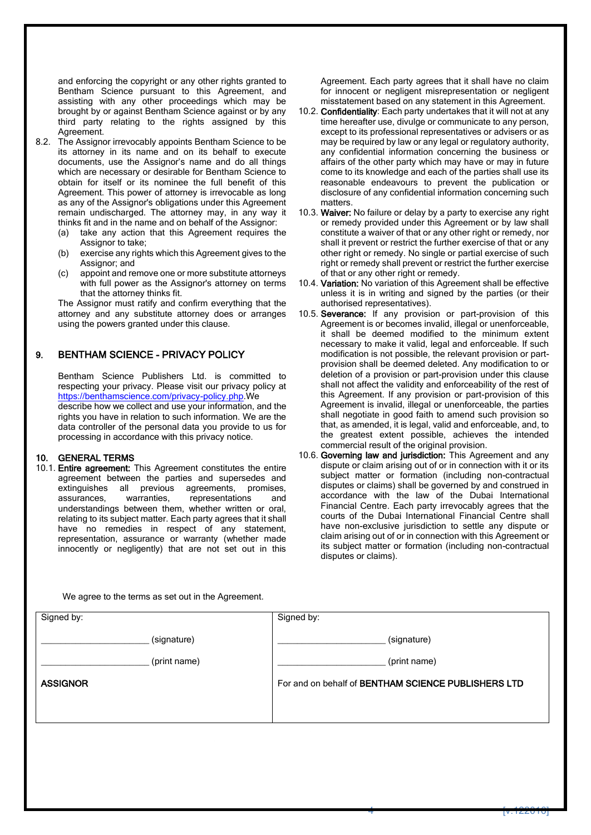and enforcing the copyright or any other rights granted to Bentham Science pursuant to this Agreement, and assisting with any other proceedings which may be brought by or against Bentham Science against or by any third party relating to the rights assigned by this Agreement.

- 8.2. The Assignor irrevocably appoints Bentham Science to be its attorney in its name and on its behalf to execute documents, use the Assignor's name and do all things which are necessary or desirable for Bentham Science to obtain for itself or its nominee the full benefit of this Agreement. This power of attorney is irrevocable as long as any of the Assignor's obligations under this Agreement remain undischarged. The attorney may, in any way it thinks fit and in the name and on behalf of the Assignor:
	- (a) take any action that this Agreement requires the Assignor to take;
	- (b) exercise any rights which this Agreement gives to the Assignor; and
	- (c) appoint and remove one or more substitute attorneys with full power as the Assignor's attorney on terms that the attorney thinks fit.

The Assignor must ratify and confirm everything that the attorney and any substitute attorney does or arranges using the powers granted under this clause.

#### 9. BENTHAM SCIENCE - PRIVACY POLICY

Bentham Science Publishers Ltd. is committed to respecting your privacy. Please visit our privacy policy at [https://benthamscience.com/privacy-policy.php.](https://benthamscience.com/privacy-policy.php)We describe how we collect and use your information, and the rights you have in relation to such information. We are the data controller of the personal data you provide to us for

processing in accordance with this privacy notice.

#### 10. GENERAL TERMS

10.1. Entire agreement: This Agreement constitutes the entire agreement between the parties and supersedes and extinguishes all previous agreements, promises, assurances, warranties, representations and understandings between them, whether written or oral, relating to its subject matter. Each party agrees that it shall have no remedies in respect of any statement, representation, assurance or warranty (whether made innocently or negligently) that are not set out in this Agreement. Each party agrees that it shall have no claim for innocent or negligent misrepresentation or negligent misstatement based on any statement in this Agreement.

- 10.2. Confidentiality: Each party undertakes that it will not at any time hereafter use, divulge or communicate to any person, except to its professional representatives or advisers or as may be required by law or any legal or regulatory authority, any confidential information concerning the business or affairs of the other party which may have or may in future come to its knowledge and each of the parties shall use its reasonable endeavours to prevent the publication or disclosure of any confidential information concerning such matters.
- 10.3. Waiver: No failure or delay by a party to exercise any right or remedy provided under this Agreement or by law shall constitute a waiver of that or any other right or remedy, nor shall it prevent or restrict the further exercise of that or any other right or remedy. No single or partial exercise of such right or remedy shall prevent or restrict the further exercise of that or any other right or remedy.
- 10.4. Variation: No variation of this Agreement shall be effective unless it is in writing and signed by the parties (or their authorised representatives).
- 10.5. Severance: If any provision or part-provision of this Agreement is or becomes invalid, illegal or unenforceable, it shall be deemed modified to the minimum extent necessary to make it valid, legal and enforceable. If such modification is not possible, the relevant provision or partprovision shall be deemed deleted. Any modification to or deletion of a provision or part-provision under this clause shall not affect the validity and enforceability of the rest of this Agreement. If any provision or part-provision of this Agreement is invalid, illegal or unenforceable, the parties shall negotiate in good faith to amend such provision so that, as amended, it is legal, valid and enforceable, and, to the greatest extent possible, achieves the intended commercial result of the original provision.
- 10.6. Governing law and jurisdiction: This Agreement and any dispute or claim arising out of or in connection with it or its subject matter or formation (including non-contractual disputes or claims) shall be governed by and construed in accordance with the law of the Dubai International Financial Centre. Each party irrevocably agrees that the courts of the Dubai International Financial Centre shall have non-exclusive jurisdiction to settle any dispute or claim arising out of or in connection with this Agreement or its subject matter or formation (including non-contractual disputes or claims).

We agree to the terms as set out in the Agreement.

| Signed by:      | Signed by:                                                 |
|-----------------|------------------------------------------------------------|
| (signature)     | (signature)                                                |
| (print name)    | (print name)                                               |
| <b>ASSIGNOR</b> | For and on behalf of <b>BENTHAM SCIENCE PUBLISHERS LTD</b> |
|                 |                                                            |
|                 |                                                            |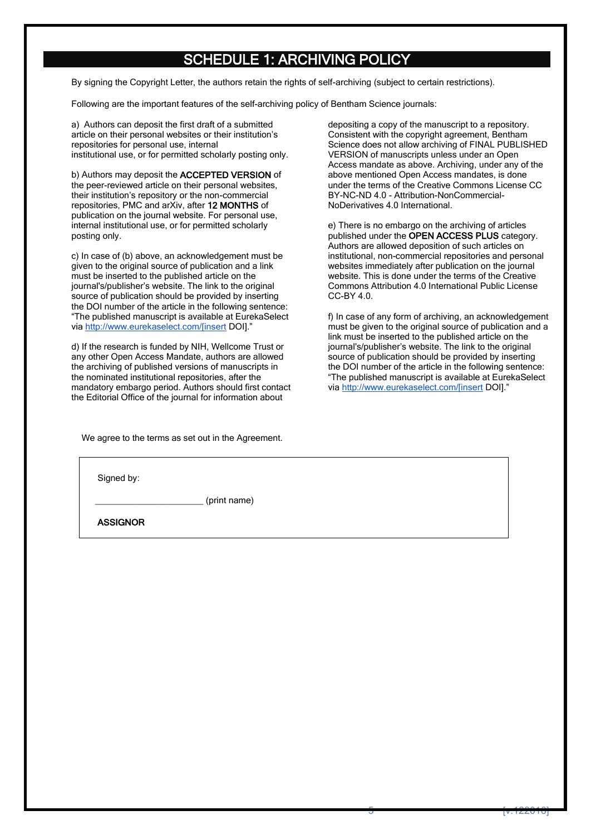## SCHEDULE 1: ARCHIVING POLICY

By signing the Copyright Letter, the authors retain the rights of self-archiving (subject to certain restrictions).

Following are the important features of the self-archiving policy of Bentham Science journals:

a) Authors can deposit the first draft of a submitted article on their personal websites or their institution's repositories for personal use, internal institutional use, or for permitted scholarly posting only.

b) Authors may deposit the ACCEPTED VERSION of the peer-reviewed article on their personal websites, their institution's repository or the non-commercial repositories, PMC and arXiv, after 12 MONTHS of publication on the journal website. For personal use, internal institutional use, or for permitted scholarly posting only.

c) In case of (b) above, an acknowledgement must be given to the original source of publication and a link must be inserted to the published article on the journal's/publisher's website. The link to the original source of publication should be provided by inserting the DOI number of the article in the following sentence: "The published manuscript is available at EurekaSelect via [http://www.eurekaselect.com/\[insert](http://www.eurekaselect.com/%5Binsert) DOI].'

d) If the research is funded by NIH, Wellcome Trust or any other Open Access Mandate, authors are allowed the archiving of published versions of manuscripts in the nominated institutional repositories, after the mandatory embargo period. Authors should first contact the Editorial Office of the journal for information about

We agree to the terms as set out in the Agreement.

depositing a copy of the manuscript to a repository. Consistent with the copyright agreement, Bentham Science does not allow archiving of FINAL PUBLISHED VERSION of manuscripts unless under an Open Access mandate as above. Archiving, under any of the above mentioned Open Access mandates, is done under the terms of the Creative Commons License CC BY-NC-ND 4.0 - Attribution-NonCommercial-NoDerivatives 4.0 International.

e) There is no embargo on the archiving of articles published under the OPEN ACCESS PLUS category. Authors are allowed deposition of such articles on institutional, non-commercial repositories and personal websites immediately after publication on the journal website. This is done under the terms of the Creative Commons Attribution 4.0 International Public License CC-BY 4.0.

f) In case of any form of archiving, an acknowledgement must be given to the original source of publication and a link must be inserted to the published article on the journal's/publisher's website. The link to the original source of publication should be provided by inserting the DOI number of the article in the following sentence: "The published manuscript is available at EurekaSelect via [http://www.eurekaselect.com/\[insert](http://www.eurekaselect.com/%5Binsert) DOI]."

| Signed by:      |              |  |
|-----------------|--------------|--|
|                 | (print name) |  |
| <b>ASSIGNOR</b> |              |  |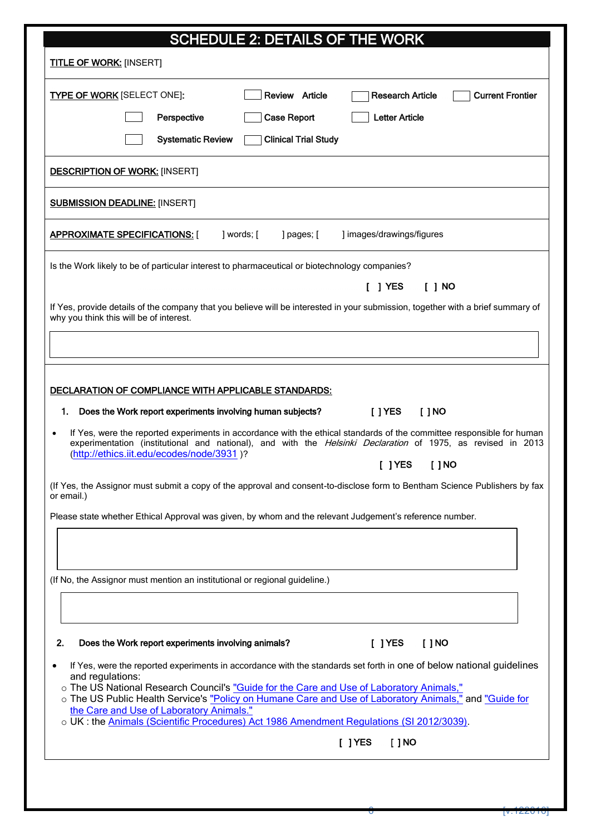| <b>SCHEDULE 2: DETAILS OF THE WORK</b>                                                                                                                                                                                                            |  |
|---------------------------------------------------------------------------------------------------------------------------------------------------------------------------------------------------------------------------------------------------|--|
| <b>TITLE OF WORK: [INSERT]</b>                                                                                                                                                                                                                    |  |
| Review Article<br><b>Current Frontier</b><br><b>TYPE OF WORK [SELECT ONE]:</b><br><b>Research Article</b>                                                                                                                                         |  |
| Perspective<br><b>Case Report</b><br><b>Letter Article</b>                                                                                                                                                                                        |  |
| <b>Systematic Review</b><br><b>Clinical Trial Study</b>                                                                                                                                                                                           |  |
| <b>DESCRIPTION OF WORK: [INSERT]</b>                                                                                                                                                                                                              |  |
| <b>SUBMISSION DEADLINE: [INSERT]</b>                                                                                                                                                                                                              |  |
| <u>APPROXIMATE SPECIFICATIONS: [</u><br>] words; [<br>] pages; [<br>] images/drawings/figures                                                                                                                                                     |  |
| Is the Work likely to be of particular interest to pharmaceutical or biotechnology companies?                                                                                                                                                     |  |
| $[$ ] YES<br>[ ] NO                                                                                                                                                                                                                               |  |
| If Yes, provide details of the company that you believe will be interested in your submission, together with a brief summary of<br>why you think this will be of interest.                                                                        |  |
|                                                                                                                                                                                                                                                   |  |
| DECLARATION OF COMPLIANCE WITH APPLICABLE STANDARDS:<br>1. Does the Work report experiments involving human subjects?<br>[ ] YES<br>$[$ $]$ NO                                                                                                    |  |
| If Yes, were the reported experiments in accordance with the ethical standards of the committee responsible for human<br>$\bullet$<br>experimentation (institutional and national), and with the Helsinki Declaration of 1975, as revised in 2013 |  |
| (http://ethics.iit.edu/ecodes/node/3931)?<br>$[$ ] YES<br>[ ] NO                                                                                                                                                                                  |  |
| (If Yes, the Assignor must submit a copy of the approval and consent-to-disclose form to Bentham Science Publishers by fax<br>or email.)                                                                                                          |  |
| Please state whether Ethical Approval was given, by whom and the relevant Judgement's reference number.                                                                                                                                           |  |
|                                                                                                                                                                                                                                                   |  |
| (If No, the Assignor must mention an institutional or regional guideline.)                                                                                                                                                                        |  |
|                                                                                                                                                                                                                                                   |  |
| 2.<br>Does the Work report experiments involving animals?<br>$[$ ] YES<br>$[$ $]$ NO                                                                                                                                                              |  |
| If Yes, were the reported experiments in accordance with the standards set forth in one of below national guidelines<br>and regulations:                                                                                                          |  |
| o The US National Research Council's "Guide for the Care and Use of Laboratory Animals."<br>o The US Public Health Service's "Policy on Humane Care and Use of Laboratory Animals," and "Guide for<br>the Care and Use of Laboratory Animals."    |  |
| o UK: the Animals (Scientific Procedures) Act 1986 Amendment Regulations (SI 2012/3039).                                                                                                                                                          |  |
| $[$ ] YES<br>$[$ $]$ NO                                                                                                                                                                                                                           |  |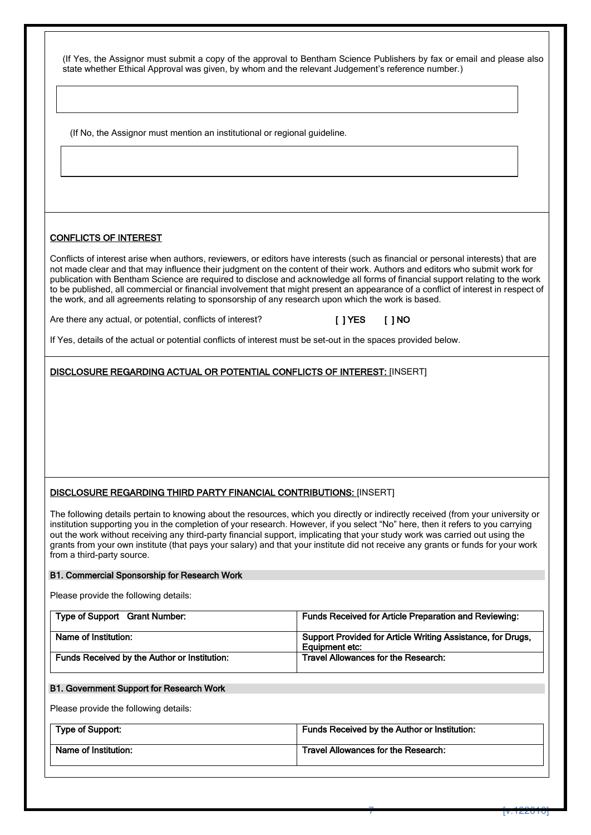(If Yes, the Assignor must submit a copy of the approval to Bentham Science Publishers by fax or email and please also state whether Ethical Approval was given, by whom and the relevant Judgement's reference number.)

(If No, the Assignor must mention an institutional or regional guideline.

#### CONFLICTS OF INTEREST

 $\overline{a}$ 

Conflicts of interest arise when authors, reviewers, or editors have interests (such as financial or personal interests) that are not made clear and that may influence their judgment on the content of their work. Authors and editors who submit work for publication with Bentham Science are required to disclose and acknowledge all forms of financial support relating to the work to be published, all commercial or financial involvement that might present an appearance of a conflict of interest in respect of the work, and all agreements relating to sponsorship of any research upon which the work is based.

Are there any actual, or potential, conflicts of interest? [ ] YES [ ] NO

If Yes, details of the actual or potential conflicts of interest must be set-out in the spaces provided below.

DISCLOSURE REGARDING ACTUAL OR POTENTIAL CONFLICTS OF INTEREST: [INSERT]

#### DISCLOSURE REGARDING THIRD PARTY FINANCIAL CONTRIBUTIONS: [INSERT]

The following details pertain to knowing about the resources, which you directly or indirectly received (from your university or institution supporting you in the completion of your research. However, if you select "No" here, then it refers to you carrying out the work without receiving any third-party financial support, implicating that your study work was carried out using the grants from your own institute (that pays your salary) and that your institute did not receive any grants or funds for your work from a third-party source.

#### B1. Commercial Sponsorship for Research Work

Please provide the following details:

| Type of Support Grant Number:                | <b>Funds Received for Article Preparation and Reviewing:</b>                  |
|----------------------------------------------|-------------------------------------------------------------------------------|
| Name of Institution:                         | Support Provided for Article Writing Assistance, for Drugs,<br>Eauipment etc: |
| Funds Received by the Author or Institution: | Travel Allowances for the Research:                                           |

#### B1. Government Support for Research Work

Please provide the following details:

| Type of Support:     | Funds Received by the Author or Institution: |
|----------------------|----------------------------------------------|
| Name of Institution: | Travel Allowances for the Research:          |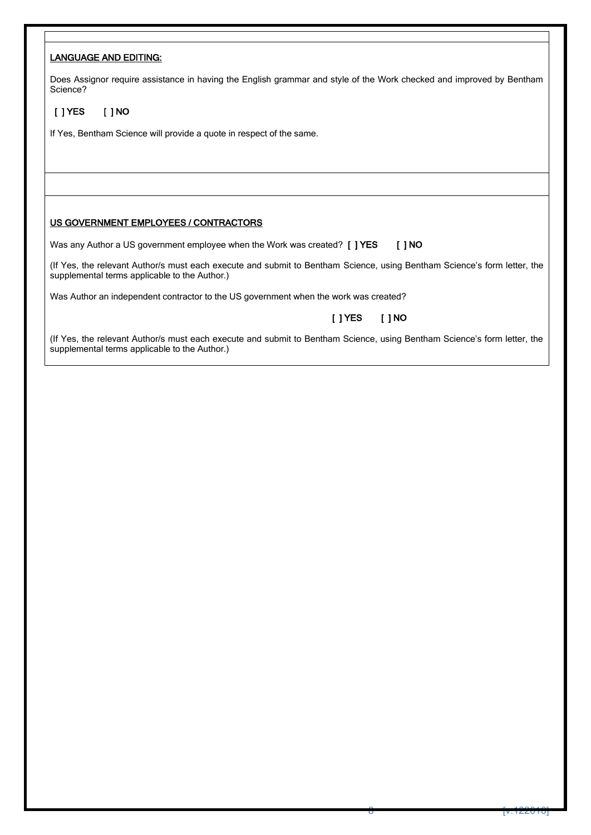#### LANGUAGE AND EDITING:

Does Assignor require assistance in having the English grammar and style of the Work checked and improved by Bentham Science?

### [ ] YES [ ] NO

If Yes, Bentham Science will provide a quote in respect of the same.

#### US GOVERNMENT EMPLOYEES / CONTRACTORS

Was any Author a US government employee when the Work was created? [ ] YES [ ] NO

(If Yes, the relevant Author/s must each execute and submit to Bentham Science, using Bentham Science's form letter, the supplemental terms applicable to the Author.)

Was Author an independent contractor to the US government when the work was created?

### [ ] YES [ ] NO

(If Yes, the relevant Author/s must each execute and submit to Bentham Science, using Bentham Science's form letter, the supplemental terms applicable to the Author.)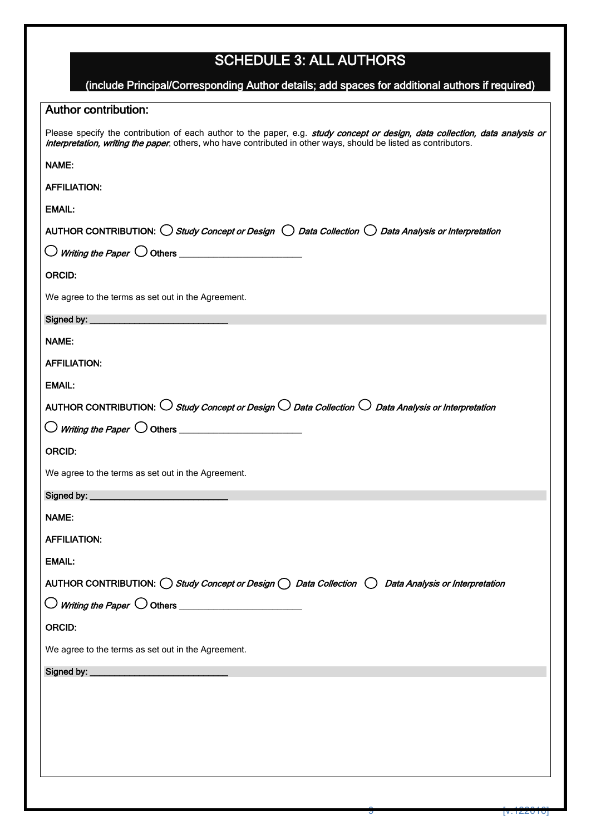# SCHEDULE 3: ALL AUTHORS

| (include Principal/Corresponding Author details; add spaces for additional authors if required)                                                                                                                                                  |
|--------------------------------------------------------------------------------------------------------------------------------------------------------------------------------------------------------------------------------------------------|
| <b>Author contribution:</b>                                                                                                                                                                                                                      |
| Please specify the contribution of each author to the paper, e.g. study concept or design, data collection, data analysis or<br>interpretation, writing the paper, others, who have contributed in other ways, should be listed as contributors. |
| <b>NAME:</b>                                                                                                                                                                                                                                     |
| <b>AFFILIATION:</b>                                                                                                                                                                                                                              |
| <b>EMAIL:</b>                                                                                                                                                                                                                                    |
| AUTHOR CONTRIBUTION: $\bigcirc$ Study Concept or Design $\bigcirc$ Data Collection $\bigcirc$ Data Analysis or Interpretation                                                                                                                    |
| $\bigcirc$ Writing the Paper $\bigcirc$ Others _______________________                                                                                                                                                                           |
| <b>ORCID:</b>                                                                                                                                                                                                                                    |
| We agree to the terms as set out in the Agreement.                                                                                                                                                                                               |
|                                                                                                                                                                                                                                                  |
| NAME:                                                                                                                                                                                                                                            |
| <b>AFFILIATION:</b>                                                                                                                                                                                                                              |
| <b>EMAIL:</b>                                                                                                                                                                                                                                    |
| AUTHOR CONTRIBUTION: $\bigcirc$ Study Concept or Design $\bigcirc$ Data Collection $\bigcirc$ Data Analysis or Interpretation                                                                                                                    |
|                                                                                                                                                                                                                                                  |
| <b>ORCID:</b>                                                                                                                                                                                                                                    |
| We agree to the terms as set out in the Agreement.                                                                                                                                                                                               |
| Signed by: ___________                                                                                                                                                                                                                           |
| NAME:                                                                                                                                                                                                                                            |
| <b>AFFILIATION:</b>                                                                                                                                                                                                                              |
| <b>EMAIL:</b>                                                                                                                                                                                                                                    |
| AUTHOR CONTRIBUTION: $\bigcirc$ Study Concept or Design $\bigcirc$ Data Collection $\bigcirc$ Data Analysis or Interpretation                                                                                                                    |
| $\bigcirc$ Writing the Paper $\bigcirc$ Others _______________________                                                                                                                                                                           |
| <b>ORCID:</b>                                                                                                                                                                                                                                    |
| We agree to the terms as set out in the Agreement.                                                                                                                                                                                               |
|                                                                                                                                                                                                                                                  |
|                                                                                                                                                                                                                                                  |
|                                                                                                                                                                                                                                                  |
|                                                                                                                                                                                                                                                  |
|                                                                                                                                                                                                                                                  |
|                                                                                                                                                                                                                                                  |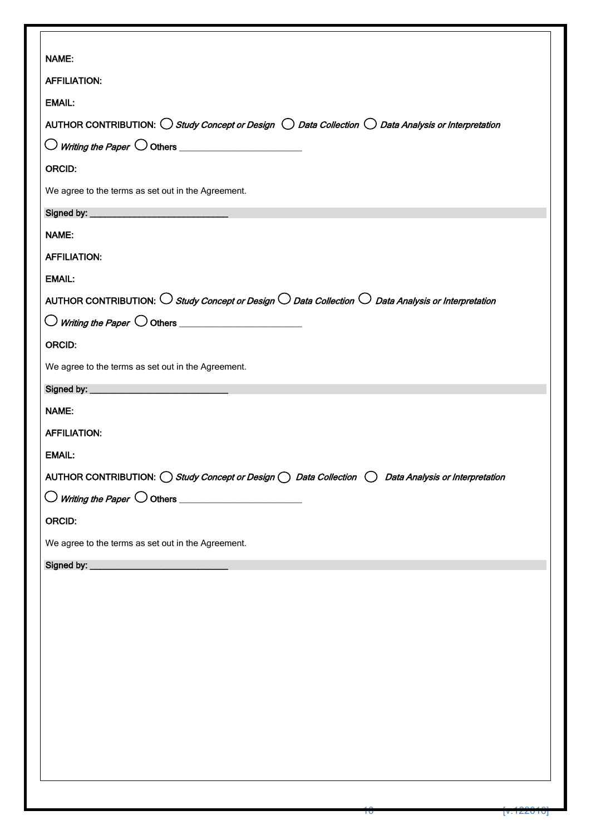| NAME:                                                                                                                         |
|-------------------------------------------------------------------------------------------------------------------------------|
| <b>AFFILIATION:</b>                                                                                                           |
| <b>EMAIL:</b>                                                                                                                 |
| AUTHOR CONTRIBUTION: $\bigcirc$ Study Concept or Design $\bigcirc$ Data Collection $\bigcirc$ Data Analysis or Interpretation |
| $\bigcirc$ Writing the Paper $\bigcirc$ Others _________________________                                                      |
| ORCID:                                                                                                                        |
| We agree to the terms as set out in the Agreement.                                                                            |
|                                                                                                                               |
| NAME:                                                                                                                         |
| <b>AFFILIATION:</b>                                                                                                           |
| <b>EMAIL:</b>                                                                                                                 |
| AUTHOR CONTRIBUTION: $\bigcirc$ Study Concept or Design $\bigcirc$ Data Collection $\bigcirc$ Data Analysis or Interpretation |
|                                                                                                                               |
| ORCID:                                                                                                                        |
| We agree to the terms as set out in the Agreement.                                                                            |
|                                                                                                                               |
| NAME:                                                                                                                         |
| <b>AFFILIATION:</b>                                                                                                           |
| <b>EMAIL:</b>                                                                                                                 |
| AUTHOR CONTRIBUTION: O Study Concept or Design O Data Collection O Data Analysis or Interpretation                            |
| $\bigcirc$ Writing the Paper $\bigcirc$ Others __________________________                                                     |
| ORCID:                                                                                                                        |
| We agree to the terms as set out in the Agreement.                                                                            |
|                                                                                                                               |
|                                                                                                                               |
|                                                                                                                               |
|                                                                                                                               |
|                                                                                                                               |
|                                                                                                                               |
|                                                                                                                               |
|                                                                                                                               |
|                                                                                                                               |
|                                                                                                                               |
|                                                                                                                               |